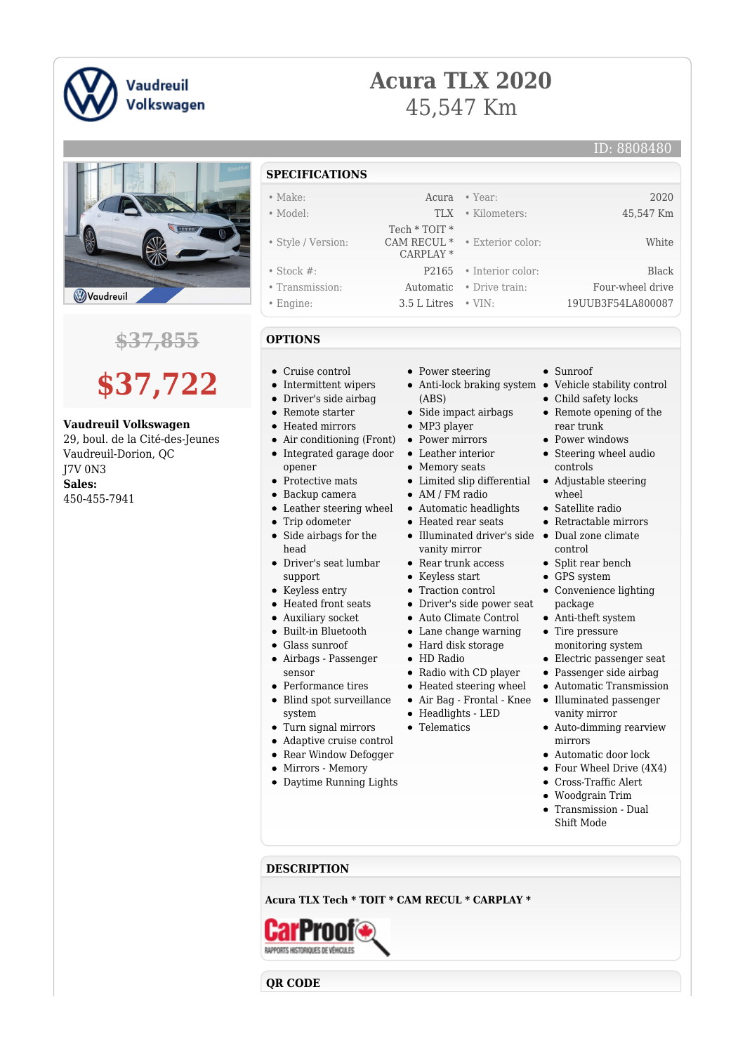

## **Acura TLX 2020** 45,547 Km

• Exterior color: White

Sunroof

• Child safety locks Remote opening of the

rear trunk • Power windows Steering wheel audio

controls

wheel Satellite radio Retractable mirrors

control • Split rear bench GPS system

package Anti-theft system • Tire pressure monitoring system Electric passenger seat Passenger side airbag Automatic Transmission Illuminated passenger vanity mirror Auto-dimming rearview



### **\$37,855**

# **\$37,722**

#### **Vaudreuil Volkswagen**

29, boul. de la Cité-des-Jeunes Vaudreuil-Dorion, QC J7V 0N3 **Sales:** 450-455-7941

#### **SPECIFICATIONS**

- Make: Acura Year: 2020
- Model: TLX Kilometers: 45,547 Km
	-
- Style / Version:
- Stock #: P2165 Interior color: Black
- Transmission: Automatic Drive train: Four-wheel drive
- Engine: 3.5 L Litres VIN: 19UUB3F54LA800087
- **OPTIONS**
- Cruise control
- Intermittent wipers
- Driver's side airbag
- Remote starter
- Heated mirrors
- Air conditioning (Front) Power mirrors
- opener
- Protective mats
- Backup camera
- 
- Trip odometer
- Side airbags for the head
- Driver's seat lumbar support
- Keyless entry
- Heated front seats
- Auxiliary socket
- Built-in Bluetooth
- Glass sunroof
- Airbags Passenger sensor
- Performance tires
- Blind spot surveillance system
- Turn signal mirrors
- Adaptive cruise control
- Rear Window Defogger
- Mirrors Memory

#### Daytime Running Lights

- Power steering
- Anti-lock braking system Vehicle stability control (ABS)
- Side impact airbags
- MP3 player

 Tech \* TOIT \* CAM RECUL \* CARPLAY \*

- 
- Leather interior
- Memory seats
- Limited slip differential Adjustable steering
- AM / FM radio
- Leather steering wheel Automatic headlights
	- Heated rear seats
	- Illuminated driver's side Dual zone climate vanity mirror
	- Rear trunk access
	- Keyless start
	- Traction control
	- Driver's side power seat
	- Auto Climate Control
	- Lane change warning
	- Hard disk storage
	- HD Radio
	- Radio with CD player
	- Heated steering wheel
	- Air Bag Frontal Knee  $\bullet$
	- Headlights LED
	- Telematics
- mirrors
	- Automatic door lock
	- Four Wheel Drive (4X4)

Convenience lighting

- Cross-Traffic Alert
- $\bullet$ Woodgrain Trim
- Transmission Dual Shift Mode

**DESCRIPTION**

**Acura TLX Tech \* TOIT \* CAM RECUL \* CARPLAY \***

RAPPORTS HISTORIQUES DE VÉHICULES

**QR CODE**

• Integrated garage door